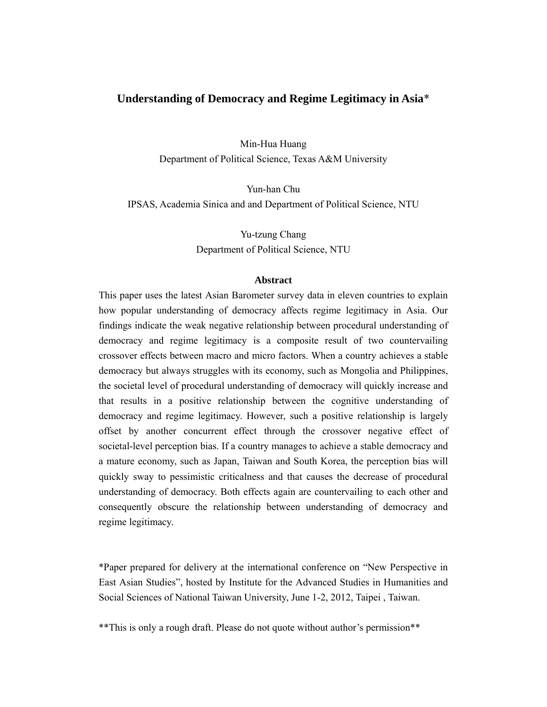### **Understanding of Democracy and Regime Legitimacy in Asia**\*

Min-Hua Huang Department of Political Science, Texas A&M University

Yun-han Chu IPSAS, Academia Sinica and and Department of Political Science, NTU

> Yu-tzung Chang Department of Political Science, NTU

#### **Abstract**

This paper uses the latest Asian Barometer survey data in eleven countries to explain how popular understanding of democracy affects regime legitimacy in Asia. Our findings indicate the weak negative relationship between procedural understanding of democracy and regime legitimacy is a composite result of two countervailing crossover effects between macro and micro factors. When a country achieves a stable democracy but always struggles with its economy, such as Mongolia and Philippines, the societal level of procedural understanding of democracy will quickly increase and that results in a positive relationship between the cognitive understanding of democracy and regime legitimacy. However, such a positive relationship is largely offset by another concurrent effect through the crossover negative effect of societal-level perception bias. If a country manages to achieve a stable democracy and a mature economy, such as Japan, Taiwan and South Korea, the perception bias will quickly sway to pessimistic criticalness and that causes the decrease of procedural understanding of democracy. Both effects again are countervailing to each other and consequently obscure the relationship between understanding of democracy and regime legitimacy.

\*Paper prepared for delivery at the international conference on "New Perspective in East Asian Studies", hosted by Institute for the Advanced Studies in Humanities and Social Sciences of National Taiwan University, June 1-2, 2012, Taipei , Taiwan.

\*\*This is only a rough draft. Please do not quote without author's permission\*\*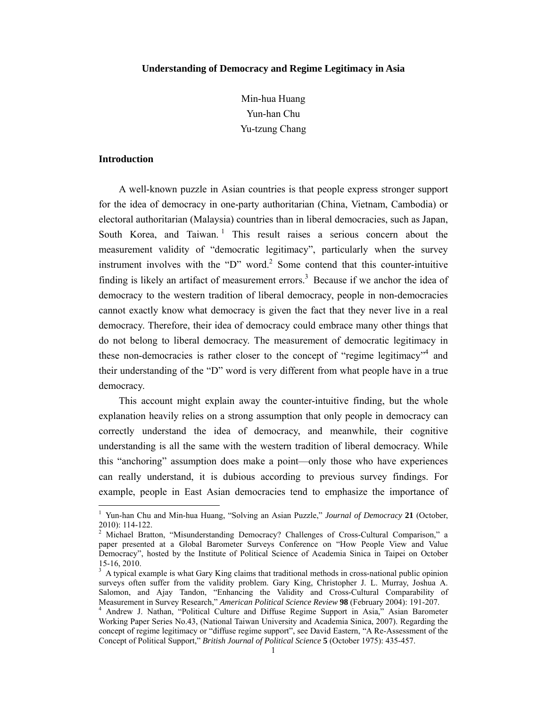#### **Understanding of Democracy and Regime Legitimacy in Asia**

Min-hua Huang Yun-han Chu Yu-tzung Chang

#### **Introduction**

A well-known puzzle in Asian countries is that people express stronger support for the idea of democracy in one-party authoritarian (China, Vietnam, Cambodia) or electoral authoritarian (Malaysia) countries than in liberal democracies, such as Japan, South Korea, and Taiwan.<sup>1</sup> This result raises a serious concern about the measurement validity of "democratic legitimacy", particularly when the survey instrument involves with the "D" word.<sup>2</sup> Some contend that this counter-intuitive finding is likely an artifact of measurement errors.<sup>3</sup> Because if we anchor the idea of democracy to the western tradition of liberal democracy, people in non-democracies cannot exactly know what democracy is given the fact that they never live in a real democracy. Therefore, their idea of democracy could embrace many other things that do not belong to liberal democracy. The measurement of democratic legitimacy in these non-democracies is rather closer to the concept of "regime legitimacy"<sup>4</sup> and their understanding of the "D" word is very different from what people have in a true democracy.

This account might explain away the counter-intuitive finding, but the whole explanation heavily relies on a strong assumption that only people in democracy can correctly understand the idea of democracy, and meanwhile, their cognitive understanding is all the same with the western tradition of liberal democracy. While this "anchoring" assumption does make a point—only those who have experiences can really understand, it is dubious according to previous survey findings. For example, people in East Asian democracies tend to emphasize the importance of

<sup>1</sup> Yun-han Chu and Min-hua Huang, "Solving an Asian Puzzle," *Journal of Democracy* **21** (October, 2010): 114-122.

<sup>&</sup>lt;sup>2</sup> Michael Bratton, "Misunderstanding Democracy? Challenges of Cross-Cultural Comparison," a paper presented at a Global Barometer Surveys Conference on "How People View and Value Democracy", hosted by the Institute of Political Science of Academia Sinica in Taipei on October 15-16, 2010.

<sup>&</sup>lt;sup>3</sup> A typical example is what Gary King claims that traditional methods in cross-national public opinion surveys often suffer from the validity problem. Gary King, Christopher J. L. Murray, Joshua A. Salomon, and Ajay Tandon, "Enhancing the Validity and Cross-Cultural Comparability of Measurement in Survey Research," *American Political Science Review* **<sup>98</sup>** (February 2004): 191-207. 4

Andrew J. Nathan, "Political Culture and Diffuse Regime Support in Asia," Asian Barometer Working Paper Series No.43, (National Taiwan University and Academia Sinica, 2007). Regarding the concept of regime legitimacy or "diffuse regime support", see David Eastern, "A Re-Assessment of the Concept of Political Support," *British Journal of Political Science* **5** (October 1975): 435-457.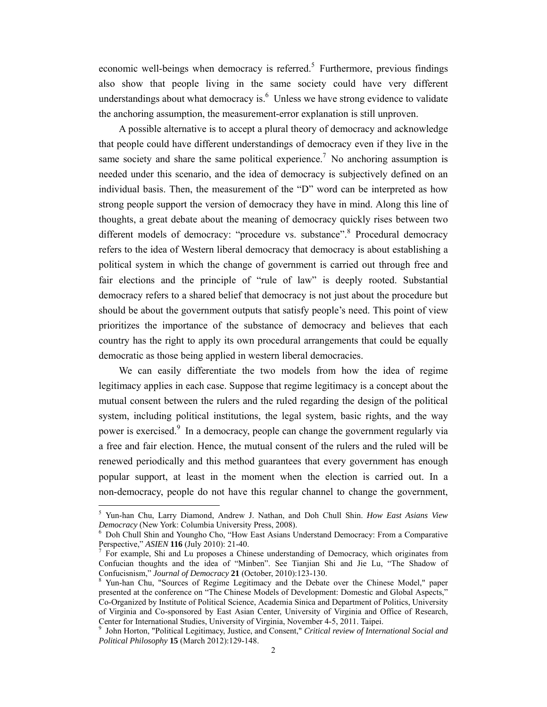economic well-beings when democracy is referred.<sup>5</sup> Furthermore, previous findings also show that people living in the same society could have very different understandings about what democracy is. $<sup>6</sup>$  Unless we have strong evidence to validate</sup> the anchoring assumption, the measurement-error explanation is still unproven.

A possible alternative is to accept a plural theory of democracy and acknowledge that people could have different understandings of democracy even if they live in the same society and share the same political experience.<sup>7</sup> No anchoring assumption is needed under this scenario, and the idea of democracy is subjectively defined on an individual basis. Then, the measurement of the "D" word can be interpreted as how strong people support the version of democracy they have in mind. Along this line of thoughts, a great debate about the meaning of democracy quickly rises between two different models of democracy: "procedure vs. substance".<sup>8</sup> Procedural democracy refers to the idea of Western liberal democracy that democracy is about establishing a political system in which the change of government is carried out through free and fair elections and the principle of "rule of law" is deeply rooted. Substantial democracy refers to a shared belief that democracy is not just about the procedure but should be about the government outputs that satisfy people's need. This point of view prioritizes the importance of the substance of democracy and believes that each country has the right to apply its own procedural arrangements that could be equally democratic as those being applied in western liberal democracies.

We can easily differentiate the two models from how the idea of regime legitimacy applies in each case. Suppose that regime legitimacy is a concept about the mutual consent between the rulers and the ruled regarding the design of the political system, including political institutions, the legal system, basic rights, and the way power is exercised.<sup>9</sup> In a democracy, people can change the government regularly via a free and fair election. Hence, the mutual consent of the rulers and the ruled will be renewed periodically and this method guarantees that every government has enough popular support, at least in the moment when the election is carried out. In a non-democracy, people do not have this regular channel to change the government,

<sup>5</sup> Yun-han Chu, Larry Diamond, Andrew J. Nathan, and Doh Chull Shin. *How East Asians View Democracy* (New York: Columbia University Press, 2008).

Doh Chull Shin and Youngho Cho, "How East Asians Understand Democracy: From a Comparative Perspective," *ASIEN* **116** (July 2010): 21-40.

<sup>&</sup>lt;sup>7</sup> For example, Shi and Lu proposes a Chinese understanding of Democracy, which originates from Confucian thoughts and the idea of "Minben". See Tianjian Shi and Jie Lu, "The Shadow of Confucisnism," *Journal of Democracy* 21 (October, 2010):123-130.

Yun-han Chu, "Sources of Regime Legitimacy and the Debate over the Chinese Model," paper presented at the conference on "The Chinese Models of Development: Domestic and Global Aspects," Co-Organized by Institute of Political Science, Academia Sinica and Department of Politics, University of Virginia and Co-sponsored by East Asian Center, University of Virginia and Office of Research, Center for International Studies, University of Virginia, November 4-5, 2011. Taipei.

<sup>9</sup> John Horton, "Political Legitimacy, Justice, and Consent," *Critical review of International Social and Political Philosophy* **15** (March 2012):129-148.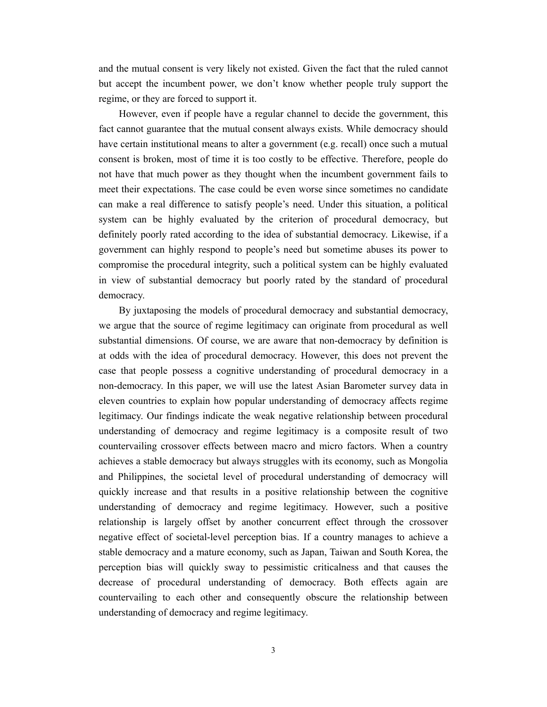and the mutual consent is very likely not existed. Given the fact that the ruled cannot but accept the incumbent power, we don't know whether people truly support the regime, or they are forced to support it.

However, even if people have a regular channel to decide the government, this fact cannot guarantee that the mutual consent always exists. While democracy should have certain institutional means to alter a government (e.g. recall) once such a mutual consent is broken, most of time it is too costly to be effective. Therefore, people do not have that much power as they thought when the incumbent government fails to meet their expectations. The case could be even worse since sometimes no candidate can make a real difference to satisfy people's need. Under this situation, a political system can be highly evaluated by the criterion of procedural democracy, but definitely poorly rated according to the idea of substantial democracy. Likewise, if a government can highly respond to people's need but sometime abuses its power to compromise the procedural integrity, such a political system can be highly evaluated in view of substantial democracy but poorly rated by the standard of procedural democracy.

By juxtaposing the models of procedural democracy and substantial democracy, we argue that the source of regime legitimacy can originate from procedural as well substantial dimensions. Of course, we are aware that non-democracy by definition is at odds with the idea of procedural democracy. However, this does not prevent the case that people possess a cognitive understanding of procedural democracy in a non-democracy. In this paper, we will use the latest Asian Barometer survey data in eleven countries to explain how popular understanding of democracy affects regime legitimacy. Our findings indicate the weak negative relationship between procedural understanding of democracy and regime legitimacy is a composite result of two countervailing crossover effects between macro and micro factors. When a country achieves a stable democracy but always struggles with its economy, such as Mongolia and Philippines, the societal level of procedural understanding of democracy will quickly increase and that results in a positive relationship between the cognitive understanding of democracy and regime legitimacy. However, such a positive relationship is largely offset by another concurrent effect through the crossover negative effect of societal-level perception bias. If a country manages to achieve a stable democracy and a mature economy, such as Japan, Taiwan and South Korea, the perception bias will quickly sway to pessimistic criticalness and that causes the decrease of procedural understanding of democracy. Both effects again are countervailing to each other and consequently obscure the relationship between understanding of democracy and regime legitimacy.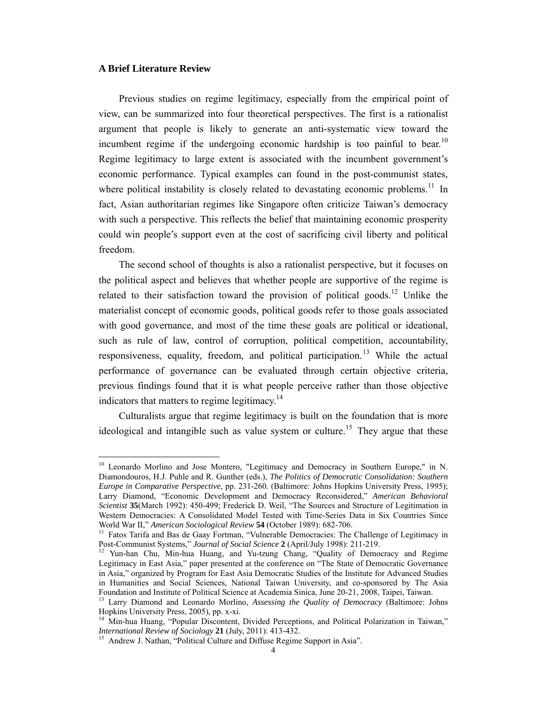#### **A Brief Literature Review**

Previous studies on regime legitimacy, especially from the empirical point of view, can be summarized into four theoretical perspectives. The first is a rationalist argument that people is likely to generate an anti-systematic view toward the incumbent regime if the undergoing economic hardship is too painful to bear.<sup>10</sup> Regime legitimacy to large extent is associated with the incumbent government's economic performance. Typical examples can found in the post-communist states, where political instability is closely related to devastating economic problems.<sup>11</sup> In fact, Asian authoritarian regimes like Singapore often criticize Taiwan's democracy with such a perspective. This reflects the belief that maintaining economic prosperity could win people's support even at the cost of sacrificing civil liberty and political freedom.

The second school of thoughts is also a rationalist perspective, but it focuses on the political aspect and believes that whether people are supportive of the regime is related to their satisfaction toward the provision of political goods.<sup>12</sup> Unlike the materialist concept of economic goods, political goods refer to those goals associated with good governance, and most of the time these goals are political or ideational, such as rule of law, control of corruption, political competition, accountability, responsiveness, equality, freedom, and political participation.<sup>13</sup> While the actual performance of governance can be evaluated through certain objective criteria, previous findings found that it is what people perceive rather than those objective indicators that matters to regime legitimacy.<sup>14</sup>

Culturalists argue that regime legitimacy is built on the foundation that is more ideological and intangible such as value system or culture.<sup>15</sup> They argue that these

<sup>&</sup>lt;sup>10</sup> Leonardo Morlino and Jose Montero, "Legitimacy and Democracy in Southern Europe," in N. Diamondouros, H.J. Puhle and R. Gunther (eds.), *The Politics of Democratic Consolidation: Southern Europe in Comparative Perspective*, pp. 231-260. (Baltimore: Johns Hopkins University Press, 1995); Larry Diamond, "Economic Development and Democracy Reconsidered," *American Behavioral Scientist* **35**(March 1992): 450-499; Frederick D. Weil, "The Sources and Structure of Legitimation in Western Democracies: A Consolidated Model Tested with Time-Series Data in Six Countries Since World War II," American Sociological Review 54 (October 1989): 682-706.

<sup>&</sup>lt;sup>11</sup> Fatos Tarifa and Bas de Gaay Fortman, "Vulnerable Democracies: The Challenge of Legitimacy in Post-Communist Systems," Journal of Social Science 2 (April/July 1998): 211-219.

<sup>&</sup>lt;sup>12</sup> Yun-han Chu, Min-hua Huang, and Yu-tzung Chang, "Quality of Democracy and Regime Legitimacy in East Asia," paper presented at the conference on "The State of Democratic Governance in Asia," organized by Program for East Asia Democratic Studies of the Institute for Advanced Studies in Humanities and Social Sciences, National Taiwan University, and co-sponsored by The Asia Foundation and Institute of Political Science at Academia Sinica, June 20-21, 2008, Taipei, Taiwan.

<sup>&</sup>lt;sup>13</sup> Larry Diamond and Leonardo Morlino, Assessing the Quality of Democracy (Baltimore: Johns Hopkins University Press, 2005), pp. x-xi.

<sup>14</sup> Min-hua Huang, "Popular Discontent, Divided Perceptions, and Political Polarization in Taiwan," *International Review of Sociology* **21** (July, 2011): 413-432.<br><sup>15</sup> Andrew J. Nathan, "Political Culture and Diffuse Regime Support in Asia".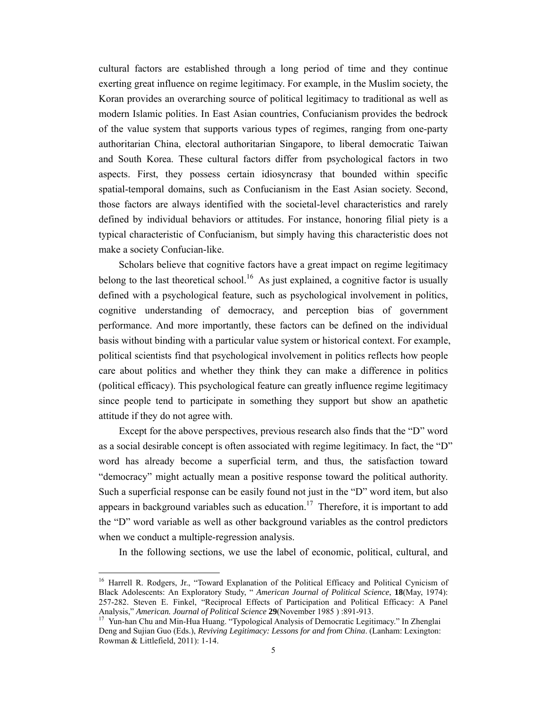cultural factors are established through a long period of time and they continue exerting great influence on regime legitimacy. For example, in the Muslim society, the Koran provides an overarching source of political legitimacy to traditional as well as modern Islamic polities. In East Asian countries, Confucianism provides the bedrock of the value system that supports various types of regimes, ranging from one-party authoritarian China, electoral authoritarian Singapore, to liberal democratic Taiwan and South Korea. These cultural factors differ from psychological factors in two aspects. First, they possess certain idiosyncrasy that bounded within specific spatial-temporal domains, such as Confucianism in the East Asian society. Second, those factors are always identified with the societal-level characteristics and rarely defined by individual behaviors or attitudes. For instance, honoring filial piety is a typical characteristic of Confucianism, but simply having this characteristic does not make a society Confucian-like.

 Scholars believe that cognitive factors have a great impact on regime legitimacy belong to the last theoretical school.<sup>16</sup> As just explained, a cognitive factor is usually defined with a psychological feature, such as psychological involvement in politics, cognitive understanding of democracy, and perception bias of government performance. And more importantly, these factors can be defined on the individual basis without binding with a particular value system or historical context. For example, political scientists find that psychological involvement in politics reflects how people care about politics and whether they think they can make a difference in politics (political efficacy). This psychological feature can greatly influence regime legitimacy since people tend to participate in something they support but show an apathetic attitude if they do not agree with.

 Except for the above perspectives, previous research also finds that the "D" word as a social desirable concept is often associated with regime legitimacy. In fact, the "D" word has already become a superficial term, and thus, the satisfaction toward "democracy" might actually mean a positive response toward the political authority. Such a superficial response can be easily found not just in the "D" word item, but also appears in background variables such as education.<sup>17</sup> Therefore, it is important to add the "D" word variable as well as other background variables as the control predictors when we conduct a multiple-regression analysis.

In the following sections, we use the label of economic, political, cultural, and

<sup>&</sup>lt;sup>16</sup> Harrell R. Rodgers, Jr., "Toward Explanation of the Political Efficacy and Political Cynicism of Black Adolescents: An Exploratory Study, " *American Journal of Political Science*, **18**(May, 1974): 257-282. Steven E. Finkel, "Reciprocal Effects of Participation and Political Efficacy: A Panel Analysis," American. Journal of Political Science 29(November 1985) : 891-913.

<sup>&</sup>lt;sup>17</sup> Yun-han Chu and Min-Hua Huang. "Typological Analysis of Democratic Legitimacy." In Zhenglai Deng and Sujian Guo (Eds.), *Reviving Legitimacy: Lessons for and from China*. (Lanham: Lexington: Rowman & Littlefield, 2011): 1-14.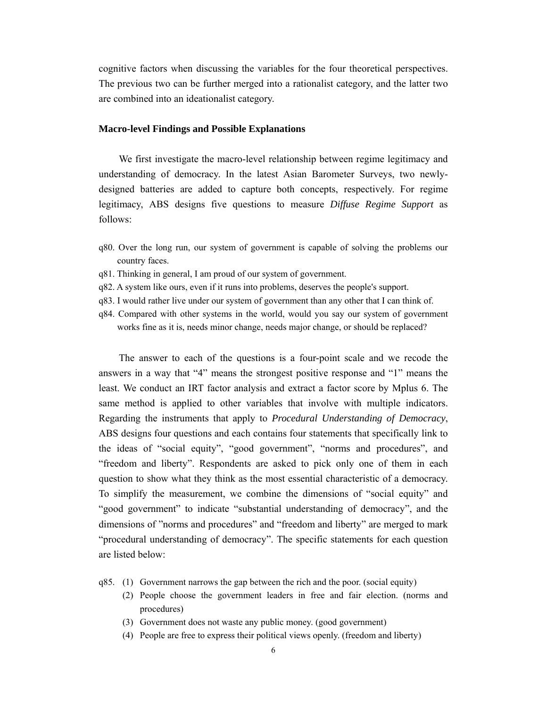cognitive factors when discussing the variables for the four theoretical perspectives. The previous two can be further merged into a rationalist category, and the latter two are combined into an ideationalist category.

#### **Macro-level Findings and Possible Explanations**

We first investigate the macro-level relationship between regime legitimacy and understanding of democracy. In the latest Asian Barometer Surveys, two newlydesigned batteries are added to capture both concepts, respectively. For regime legitimacy, ABS designs five questions to measure *Diffuse Regime Support* as follows:

- q80. Over the long run, our system of government is capable of solving the problems our country faces.
- q81. Thinking in general, I am proud of our system of government.
- q82. A system like ours, even if it runs into problems, deserves the people's support.
- q83. I would rather live under our system of government than any other that I can think of.
- q84. Compared with other systems in the world, would you say our system of government works fine as it is, needs minor change, needs major change, or should be replaced?

The answer to each of the questions is a four-point scale and we recode the answers in a way that "4" means the strongest positive response and "1" means the least. We conduct an IRT factor analysis and extract a factor score by Mplus 6. The same method is applied to other variables that involve with multiple indicators. Regarding the instruments that apply to *Procedural Understanding of Democracy*, ABS designs four questions and each contains four statements that specifically link to the ideas of "social equity", "good government", "norms and procedures", and "freedom and liberty". Respondents are asked to pick only one of them in each question to show what they think as the most essential characteristic of a democracy. To simplify the measurement, we combine the dimensions of "social equity" and "good government" to indicate "substantial understanding of democracy", and the dimensions of "norms and procedures" and "freedom and liberty" are merged to mark "procedural understanding of democracy". The specific statements for each question are listed below:

- q85. (1) Government narrows the gap between the rich and the poor. (social equity)
	- (2) People choose the government leaders in free and fair election. (norms and procedures)
	- (3) Government does not waste any public money. (good government)
	- (4) People are free to express their political views openly. (freedom and liberty)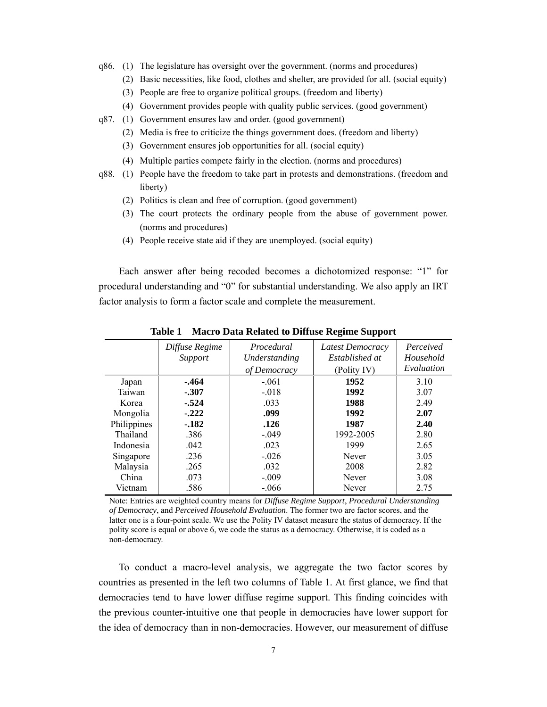- q86. (1) The legislature has oversight over the government. (norms and procedures)
	- (2) Basic necessities, like food, clothes and shelter, are provided for all. (social equity)
	- (3) People are free to organize political groups. (freedom and liberty)
	- (4) Government provides people with quality public services. (good government)
- q87. (1) Government ensures law and order. (good government)
	- (2) Media is free to criticize the things government does. (freedom and liberty)
	- (3) Government ensures job opportunities for all. (social equity)
	- (4) Multiple parties compete fairly in the election. (norms and procedures)
- q88. (1) People have the freedom to take part in protests and demonstrations. (freedom and liberty)
	- (2) Politics is clean and free of corruption. (good government)
	- (3) The court protects the ordinary people from the abuse of government power. (norms and procedures)
	- (4) People receive state aid if they are unemployed. (social equity)

Each answer after being recoded becomes a dichotomized response: "1" for procedural understanding and "0" for substantial understanding. We also apply an IRT factor analysis to form a factor scale and complete the measurement.

|                 | Diffuse Regime<br>Support | Procedural<br>Understanding<br>of Democracy | Latest Democracy<br>Established at<br>(Polity IV) | Perceived<br>Household<br>Evaluation |
|-----------------|---------------------------|---------------------------------------------|---------------------------------------------------|--------------------------------------|
| Japan<br>Taiwan | $-464$<br>$-.307$         | $-.061$<br>$-.018$                          | 1952<br>1992                                      | 3.10<br>3.07                         |
| Korea           | $-.524$                   | .033                                        | 1988                                              | 2.49                                 |
| Mongolia        | $-.222$                   | .099                                        | 1992                                              | 2.07                                 |
| Philippines     | $-182$                    | .126                                        | 1987                                              | 2.40                                 |
| Thailand        | .386                      | $-.049$                                     | 1992-2005                                         | 2.80                                 |
| Indonesia       | .042                      | .023                                        | 1999                                              | 2.65                                 |
| Singapore       | .236                      | $-.026$                                     | Never                                             | 3.05                                 |
| Malaysia        | .265                      | .032                                        | 2008                                              | 2.82                                 |
| China           | .073                      | $-.009$                                     | Never                                             | 3.08                                 |
| Vietnam         | .586                      | $-.066$                                     | Never                                             | 2.75                                 |

**Table 1 Macro Data Related to Diffuse Regime Support** 

Note: Entries are weighted country means for *Diffuse Regime Support*, *Procedural Understanding of Democracy*, and *Perceived Household Evaluation*. The former two are factor scores, and the latter one is a four-point scale. We use the Polity IV dataset measure the status of democracy. If the polity score is equal or above 6, we code the status as a democracy. Otherwise, it is coded as a non-democracy.

To conduct a macro-level analysis, we aggregate the two factor scores by countries as presented in the left two columns of Table 1. At first glance, we find that democracies tend to have lower diffuse regime support. This finding coincides with the previous counter-intuitive one that people in democracies have lower support for the idea of democracy than in non-democracies. However, our measurement of diffuse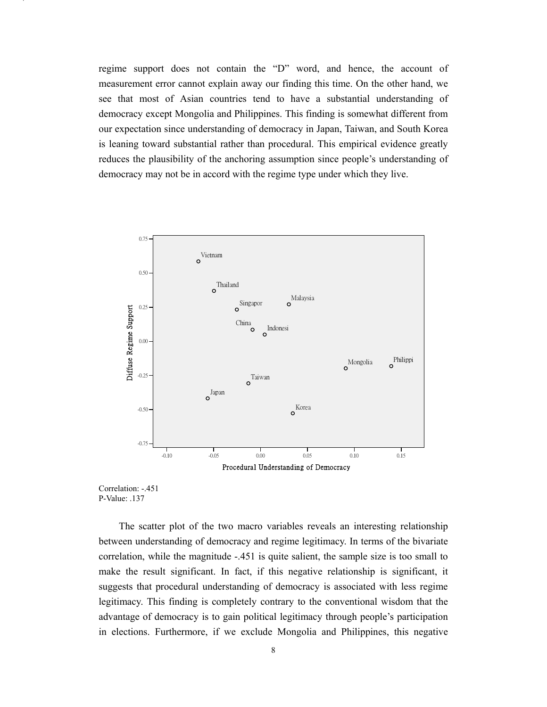regime support does not contain the "D" word, and hence, the account of measurement error cannot explain away our finding this time. On the other hand, we see that most of Asian countries tend to have a substantial understanding of democracy except Mongolia and Philippines. This finding is somewhat different from our expectation since understanding of democracy in Japan, Taiwan, and South Korea is leaning toward substantial rather than procedural. This empirical evidence greatly reduces the plausibility of the anchoring assumption since people's understanding of democracy may not be in accord with the regime type under which they live.





The scatter plot of the two macro variables reveals an interesting relationship between understanding of democracy and regime legitimacy. In terms of the bivariate correlation, while the magnitude -.451 is quite salient, the sample size is too small to make the result significant. In fact, if this negative relationship is significant, it suggests that procedural understanding of democracy is associated with less regime legitimacy. This finding is completely contrary to the conventional wisdom that the advantage of democracy is to gain political legitimacy through people's participation in elections. Furthermore, if we exclude Mongolia and Philippines, this negative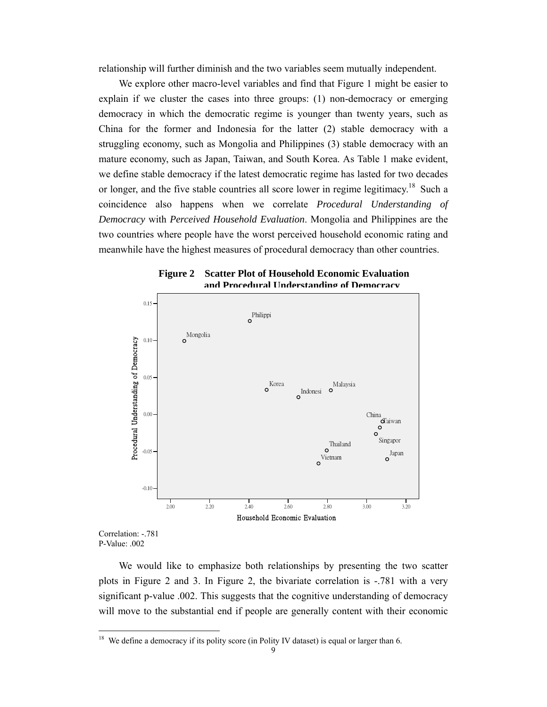relationship will further diminish and the two variables seem mutually independent.

We explore other macro-level variables and find that Figure 1 might be easier to explain if we cluster the cases into three groups: (1) non-democracy or emerging democracy in which the democratic regime is younger than twenty years, such as China for the former and Indonesia for the latter (2) stable democracy with a struggling economy, such as Mongolia and Philippines (3) stable democracy with an mature economy, such as Japan, Taiwan, and South Korea. As Table 1 make evident, we define stable democracy if the latest democratic regime has lasted for two decades or longer, and the five stable countries all score lower in regime legitimacy.<sup>18</sup> Such a coincidence also happens when we correlate *Procedural Understanding of Democracy* with *Perceived Household Evaluation*. Mongolia and Philippines are the two countries where people have the worst perceived household economic rating and meanwhile have the highest measures of procedural democracy than other countries.





Correlation: -.781 P-Value: .002

We would like to emphasize both relationships by presenting the two scatter plots in Figure 2 and 3. In Figure 2, the bivariate correlation is -.781 with a very significant p-value .002. This suggests that the cognitive understanding of democracy will move to the substantial end if people are generally content with their economic

We define a democracy if its polity score (in Polity IV dataset) is equal or larger than 6.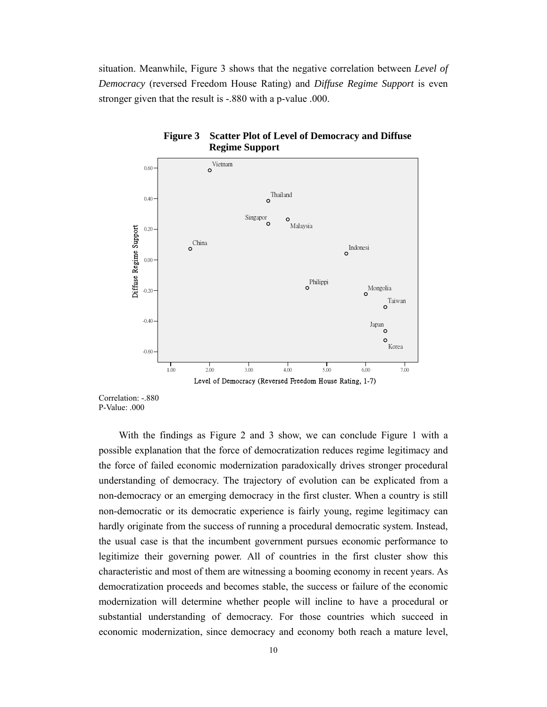situation. Meanwhile, Figure 3 shows that the negative correlation between *Level of Democracy* (reversed Freedom House Rating) and *Diffuse Regime Support* is even stronger given that the result is -.880 with a p-value .000.





Correlation: -.880 P-Value: .000

With the findings as Figure 2 and 3 show, we can conclude Figure 1 with a possible explanation that the force of democratization reduces regime legitimacy and the force of failed economic modernization paradoxically drives stronger procedural understanding of democracy. The trajectory of evolution can be explicated from a non-democracy or an emerging democracy in the first cluster. When a country is still non-democratic or its democratic experience is fairly young, regime legitimacy can hardly originate from the success of running a procedural democratic system. Instead, the usual case is that the incumbent government pursues economic performance to legitimize their governing power. All of countries in the first cluster show this characteristic and most of them are witnessing a booming economy in recent years. As democratization proceeds and becomes stable, the success or failure of the economic modernization will determine whether people will incline to have a procedural or substantial understanding of democracy. For those countries which succeed in economic modernization, since democracy and economy both reach a mature level,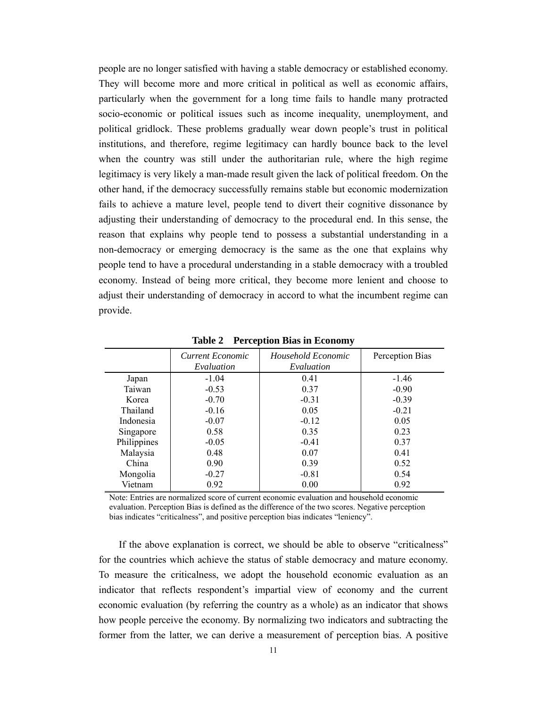people are no longer satisfied with having a stable democracy or established economy. They will become more and more critical in political as well as economic affairs, particularly when the government for a long time fails to handle many protracted socio-economic or political issues such as income inequality, unemployment, and political gridlock. These problems gradually wear down people's trust in political institutions, and therefore, regime legitimacy can hardly bounce back to the level when the country was still under the authoritarian rule, where the high regime legitimacy is very likely a man-made result given the lack of political freedom. On the other hand, if the democracy successfully remains stable but economic modernization fails to achieve a mature level, people tend to divert their cognitive dissonance by adjusting their understanding of democracy to the procedural end. In this sense, the reason that explains why people tend to possess a substantial understanding in a non-democracy or emerging democracy is the same as the one that explains why people tend to have a procedural understanding in a stable democracy with a troubled economy. Instead of being more critical, they become more lenient and choose to adjust their understanding of democracy in accord to what the incumbent regime can provide.

|             | Current Economic<br>Evaluation | Household Economic<br>Evaluation | Perception Bias |
|-------------|--------------------------------|----------------------------------|-----------------|
| Japan       | $-1.04$                        | 0.41                             | $-1.46$         |
| Taiwan      | $-0.53$                        | 0.37                             | $-0.90$         |
| Korea       | $-0.70$                        | $-0.31$                          | $-0.39$         |
| Thailand    | $-0.16$                        | 0.05                             | $-0.21$         |
| Indonesia   | $-0.07$                        | $-0.12$                          | 0.05            |
| Singapore   | 0.58                           | 0.35                             | 0.23            |
| Philippines | $-0.05$                        | $-0.41$                          | 0.37            |
| Malaysia    | 0.48                           | 0.07                             | 0.41            |
| China       | 0.90                           | 0.39                             | 0.52            |
| Mongolia    | $-0.27$                        | $-0.81$                          | 0.54            |
| Vietnam     | 0.92                           | 0.00                             | 0.92            |

**Table 2 Perception Bias in Economy** 

Note: Entries are normalized score of current economic evaluation and household economic evaluation. Perception Bias is defined as the difference of the two scores. Negative perception bias indicates "criticalness", and positive perception bias indicates "leniency".

If the above explanation is correct, we should be able to observe "criticalness" for the countries which achieve the status of stable democracy and mature economy. To measure the criticalness, we adopt the household economic evaluation as an indicator that reflects respondent's impartial view of economy and the current economic evaluation (by referring the country as a whole) as an indicator that shows how people perceive the economy. By normalizing two indicators and subtracting the former from the latter, we can derive a measurement of perception bias. A positive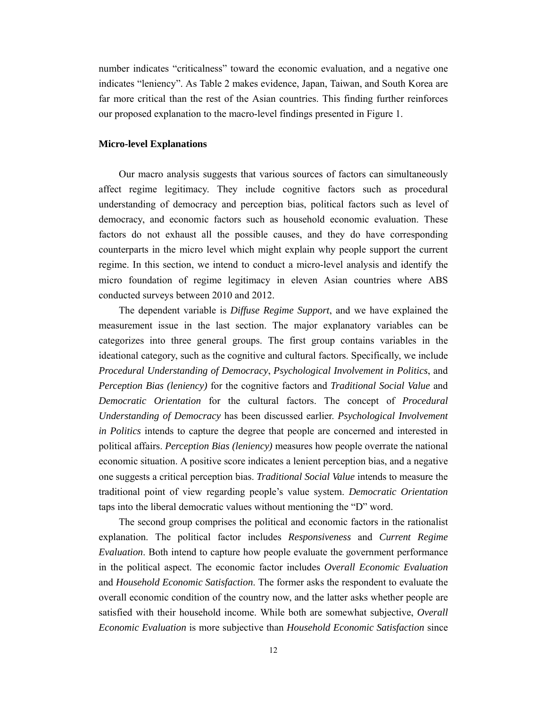number indicates "criticalness" toward the economic evaluation, and a negative one indicates "leniency". As Table 2 makes evidence, Japan, Taiwan, and South Korea are far more critical than the rest of the Asian countries. This finding further reinforces our proposed explanation to the macro-level findings presented in Figure 1.

#### **Micro-level Explanations**

Our macro analysis suggests that various sources of factors can simultaneously affect regime legitimacy. They include cognitive factors such as procedural understanding of democracy and perception bias, political factors such as level of democracy, and economic factors such as household economic evaluation. These factors do not exhaust all the possible causes, and they do have corresponding counterparts in the micro level which might explain why people support the current regime. In this section, we intend to conduct a micro-level analysis and identify the micro foundation of regime legitimacy in eleven Asian countries where ABS conducted surveys between 2010 and 2012.

The dependent variable is *Diffuse Regime Support*, and we have explained the measurement issue in the last section. The major explanatory variables can be categorizes into three general groups. The first group contains variables in the ideational category, such as the cognitive and cultural factors. Specifically, we include *Procedural Understanding of Democracy*, *Psychological Involvement in Politics*, and *Perception Bias (leniency)* for the cognitive factors and *Traditional Social Value* and *Democratic Orientation* for the cultural factors. The concept of *Procedural Understanding of Democracy* has been discussed earlier. *Psychological Involvement in Politics* intends to capture the degree that people are concerned and interested in political affairs. *Perception Bias (leniency)* measures how people overrate the national economic situation. A positive score indicates a lenient perception bias, and a negative one suggests a critical perception bias. *Traditional Social Value* intends to measure the traditional point of view regarding people's value system. *Democratic Orientation* taps into the liberal democratic values without mentioning the "D" word.

The second group comprises the political and economic factors in the rationalist explanation. The political factor includes *Responsiveness* and *Current Regime Evaluation*. Both intend to capture how people evaluate the government performance in the political aspect. The economic factor includes *Overall Economic Evaluation* and *Household Economic Satisfaction*. The former asks the respondent to evaluate the overall economic condition of the country now, and the latter asks whether people are satisfied with their household income. While both are somewhat subjective, *Overall Economic Evaluation* is more subjective than *Household Economic Satisfaction* since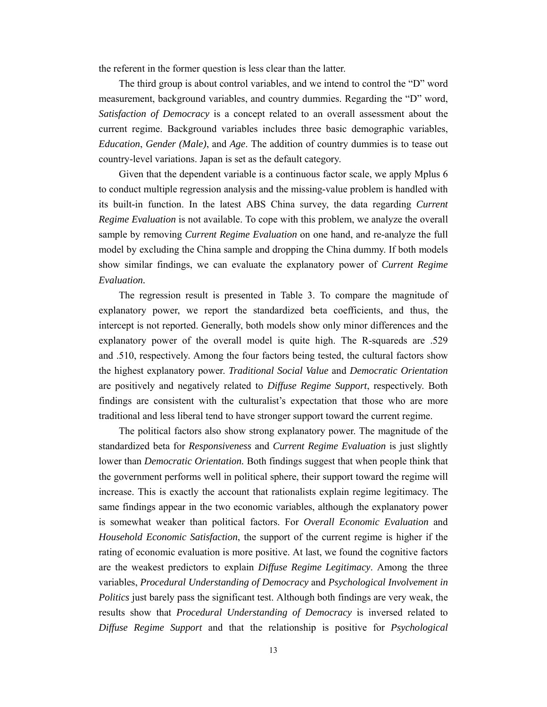the referent in the former question is less clear than the latter.

The third group is about control variables, and we intend to control the "D" word measurement, background variables, and country dummies. Regarding the "D" word, *Satisfaction of Democracy* is a concept related to an overall assessment about the current regime. Background variables includes three basic demographic variables, *Education*, *Gender (Male)*, and *Age*. The addition of country dummies is to tease out country-level variations. Japan is set as the default category.

Given that the dependent variable is a continuous factor scale, we apply Mplus 6 to conduct multiple regression analysis and the missing-value problem is handled with its built-in function. In the latest ABS China survey, the data regarding *Current Regime Evaluation* is not available. To cope with this problem, we analyze the overall sample by removing *Current Regime Evaluation* on one hand, and re-analyze the full model by excluding the China sample and dropping the China dummy. If both models show similar findings, we can evaluate the explanatory power of *Current Regime Evaluation.*

The regression result is presented in Table 3. To compare the magnitude of explanatory power, we report the standardized beta coefficients, and thus, the intercept is not reported. Generally, both models show only minor differences and the explanatory power of the overall model is quite high. The R-squareds are .529 and .510, respectively. Among the four factors being tested, the cultural factors show the highest explanatory power. *Traditional Social Value* and *Democratic Orientation* are positively and negatively related to *Diffuse Regime Support*, respectively. Both findings are consistent with the culturalist's expectation that those who are more traditional and less liberal tend to have stronger support toward the current regime.

The political factors also show strong explanatory power. The magnitude of the standardized beta for *Responsiveness* and *Current Regime Evaluation* is just slightly lower than *Democratic Orientation.* Both findings suggest that when people think that the government performs well in political sphere, their support toward the regime will increase. This is exactly the account that rationalists explain regime legitimacy. The same findings appear in the two economic variables, although the explanatory power is somewhat weaker than political factors. For *Overall Economic Evaluation* and *Household Economic Satisfaction*, the support of the current regime is higher if the rating of economic evaluation is more positive. At last, we found the cognitive factors are the weakest predictors to explain *Diffuse Regime Legitimacy*. Among the three variables, *Procedural Understanding of Democracy* and *Psychological Involvement in Politics* just barely pass the significant test. Although both findings are very weak, the results show that *Procedural Understanding of Democracy* is inversed related to *Diffuse Regime Support* and that the relationship is positive for *Psychological*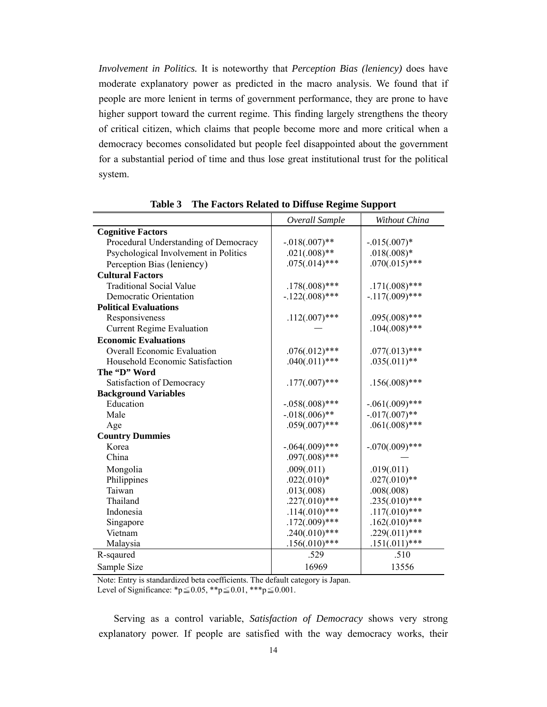*Involvement in Politics.* It is noteworthy that *Perception Bias (leniency)* does have moderate explanatory power as predicted in the macro analysis. We found that if people are more lenient in terms of government performance, they are prone to have higher support toward the current regime. This finding largely strengthens the theory of critical citizen, which claims that people become more and more critical when a democracy becomes consolidated but people feel disappointed about the government for a substantial period of time and thus lose great institutional trust for the political system.

|                                       | Overall Sample    | Without China     |
|---------------------------------------|-------------------|-------------------|
| <b>Cognitive Factors</b>              |                   |                   |
| Procedural Understanding of Democracy | $-0.018(.007)$ ** | $-0.015(.007)$ *  |
| Psychological Involvement in Politics | $.021(.008)$ **   | $.018(.008)*$     |
| Perception Bias (leniency)            | $.075(.014)$ ***  | $.070(.015)$ ***  |
| <b>Cultural Factors</b>               |                   |                   |
| <b>Traditional Social Value</b>       | $.178(.008)$ ***  | $.171(.008)$ ***  |
| <b>Democratic Orientation</b>         | $-.122(.008)$ *** | $-.117(.009)$ *** |
| <b>Political Evaluations</b>          |                   |                   |
| Responsiveness                        | $.112(.007)$ ***  | $.095(.008)$ ***  |
| <b>Current Regime Evaluation</b>      |                   | $.104(.008)$ ***  |
| <b>Economic Evaluations</b>           |                   |                   |
| <b>Overall Economic Evaluation</b>    | $.076(.012)$ ***  | $.077(.013)$ ***  |
| Household Economic Satisfaction       | $.040(.011)$ ***  | $.035(.011)**$    |
| The "D" Word                          |                   |                   |
| Satisfaction of Democracy             | $.177(.007)$ ***  | $.156(.008)$ ***  |
| <b>Background Variables</b>           |                   |                   |
| Education                             | $-.058(.008)$ *** | $-.061(.009)$ *** |
| Male                                  | $-.018(.006)$ **  | $-0.017(.007)$ ** |
| Age                                   | $.059(.007)$ ***  | $.061(.008)$ ***  |
| <b>Country Dummies</b>                |                   |                   |
| Korea                                 | $-.064(.009)$ *** | $-.070(.009)$ *** |
| China                                 | $.097(.008)$ ***  |                   |
| Mongolia                              | .009(.011)        | .019(.011)        |
| Philippines                           | $.022(.010)*$     | $.027(.010)**$    |
| Taiwan                                | .013(.008)        | .008(.008)        |
| Thailand                              | $.227(.010)$ ***  | $.235(.010)***$   |
| Indonesia                             | $.114(.010)$ ***  | $.117(.010)***$   |
| Singapore                             | $.172(.009)$ ***  | $.162(.010)***$   |
| Vietnam                               | $.240(.010)***$   | $.229(.011)$ ***  |
| Malaysia                              | $.156(.010)$ ***  | $.151(.011)***$   |
| R-sqaured                             | .529              | .510              |
| Sample Size                           | 16969             | 13556             |

**Table 3 The Factors Related to Diffuse Regime Support** 

Note: Entry is standardized beta coefficients. The default category is Japan. Level of Significance: \*p≤0.05, \*\*p≤0.01, \*\*\*p≤0.001.

 Serving as a control variable, *Satisfaction of Democracy* shows very strong explanatory power. If people are satisfied with the way democracy works, their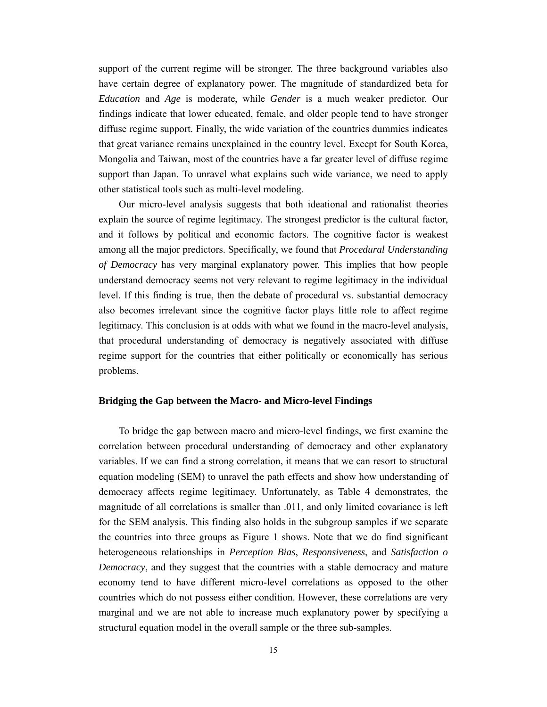support of the current regime will be stronger. The three background variables also have certain degree of explanatory power. The magnitude of standardized beta for *Education* and *Age* is moderate, while *Gender* is a much weaker predictor. Our findings indicate that lower educated, female, and older people tend to have stronger diffuse regime support. Finally, the wide variation of the countries dummies indicates that great variance remains unexplained in the country level. Except for South Korea, Mongolia and Taiwan, most of the countries have a far greater level of diffuse regime support than Japan. To unravel what explains such wide variance, we need to apply other statistical tools such as multi-level modeling.

Our micro-level analysis suggests that both ideational and rationalist theories explain the source of regime legitimacy. The strongest predictor is the cultural factor, and it follows by political and economic factors. The cognitive factor is weakest among all the major predictors. Specifically, we found that *Procedural Understanding of Democracy* has very marginal explanatory power. This implies that how people understand democracy seems not very relevant to regime legitimacy in the individual level. If this finding is true, then the debate of procedural vs. substantial democracy also becomes irrelevant since the cognitive factor plays little role to affect regime legitimacy. This conclusion is at odds with what we found in the macro-level analysis, that procedural understanding of democracy is negatively associated with diffuse regime support for the countries that either politically or economically has serious problems.

#### **Bridging the Gap between the Macro- and Micro-level Findings**

To bridge the gap between macro and micro-level findings, we first examine the correlation between procedural understanding of democracy and other explanatory variables. If we can find a strong correlation, it means that we can resort to structural equation modeling (SEM) to unravel the path effects and show how understanding of democracy affects regime legitimacy. Unfortunately, as Table 4 demonstrates, the magnitude of all correlations is smaller than .011, and only limited covariance is left for the SEM analysis. This finding also holds in the subgroup samples if we separate the countries into three groups as Figure 1 shows. Note that we do find significant heterogeneous relationships in *Perception Bias*, *Responsiveness*, and *Satisfaction o Democracy*, and they suggest that the countries with a stable democracy and mature economy tend to have different micro-level correlations as opposed to the other countries which do not possess either condition. However, these correlations are very marginal and we are not able to increase much explanatory power by specifying a structural equation model in the overall sample or the three sub-samples.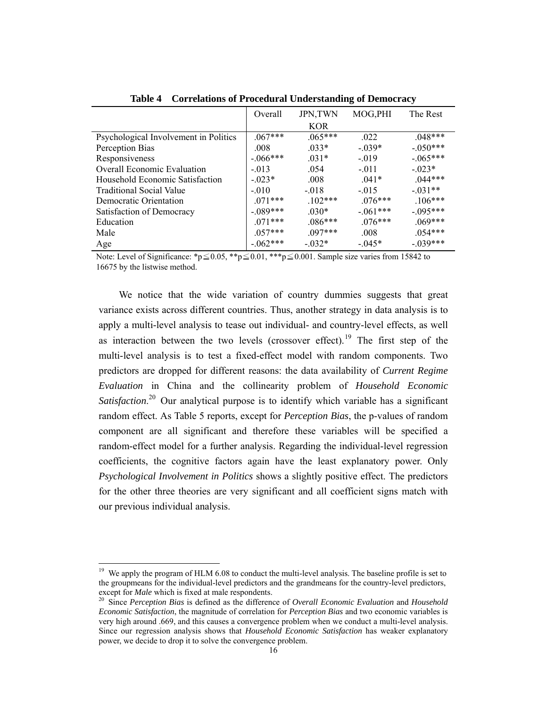|                                       | Overall   | <b>JPN,TWN</b> | MOG, PHI   | The Rest    |
|---------------------------------------|-----------|----------------|------------|-------------|
|                                       |           | <b>KOR</b>     |            |             |
| Psychological Involvement in Politics | $067***$  | $.065***$      | .022       | $048***$    |
| Perception Bias                       | .008      | $.033*$        | $-.039*$   | $-.050***$  |
| Responsiveness                        | $-066***$ | $.031*$        | $-.019$    | $-.065***$  |
| <b>Overall Economic Evaluation</b>    | $-.013$   | .054           | $-.011$    | $-0.023*$   |
| Household Economic Satisfaction       | $-023*$   | .008           | $.041*$    | $0.44***$   |
| <b>Traditional Social Value</b>       | $-.010$   | $-.018$        | $-015$     | $-.031**$   |
| Democratic Orientation                | $071***$  | $.102***$      | $076***$   | $106***$    |
| Satisfaction of Democracy             | $-089***$ | $030*$         | $-.061***$ | $-0.095***$ |
| Education                             | $071***$  | $086***$       | $.076***$  | $.069***$   |
| Male                                  | $0.57***$ | $097***$       | .008       | $0.54***$   |
| Age                                   | $-062***$ | $-0.032*$      | $-0.045*$  | $-.039***$  |

**Table 4 Correlations of Procedural Understanding of Democracy** 

Note: Level of Significance: \*p≤0.05, \*\*p≤0.01, \*\*\*p≤0.001. Sample size varies from 15842 to 16675 by the listwise method.

We notice that the wide variation of country dummies suggests that great variance exists across different countries. Thus, another strategy in data analysis is to apply a multi-level analysis to tease out individual- and country-level effects, as well as interaction between the two levels (crossover effect).<sup>19</sup> The first step of the multi-level analysis is to test a fixed-effect model with random components. Two predictors are dropped for different reasons: the data availability of *Current Regime Evaluation* in China and the collinearity problem of *Household Economic*  Satisfaction.<sup>20</sup> Our analytical purpose is to identify which variable has a significant random effect. As Table 5 reports, except for *Perception Bias*, the p-values of random component are all significant and therefore these variables will be specified a random-effect model for a further analysis. Regarding the individual-level regression coefficients, the cognitive factors again have the least explanatory power. Only *Psychological Involvement in Politics* shows a slightly positive effect. The predictors for the other three theories are very significant and all coefficient signs match with our previous individual analysis.

<sup>&</sup>lt;sup>19</sup> We apply the program of HLM 6.08 to conduct the multi-level analysis. The baseline profile is set to the groupmeans for the individual-level predictors and the grandmeans for the country-level predictors, except for *Male* which is fixed at male respondents.

<sup>&</sup>lt;sup>20</sup> Since *Perception Bias* is defined as the difference of *Overall Economic Evaluation* and *Household Economic Satisfaction*, the magnitude of correlation for *Perception Bias* and two economic variables is very high around .669, and this causes a convergence problem when we conduct a multi-level analysis. Since our regression analysis shows that *Household Economic Satisfaction* has weaker explanatory power, we decide to drop it to solve the convergence problem.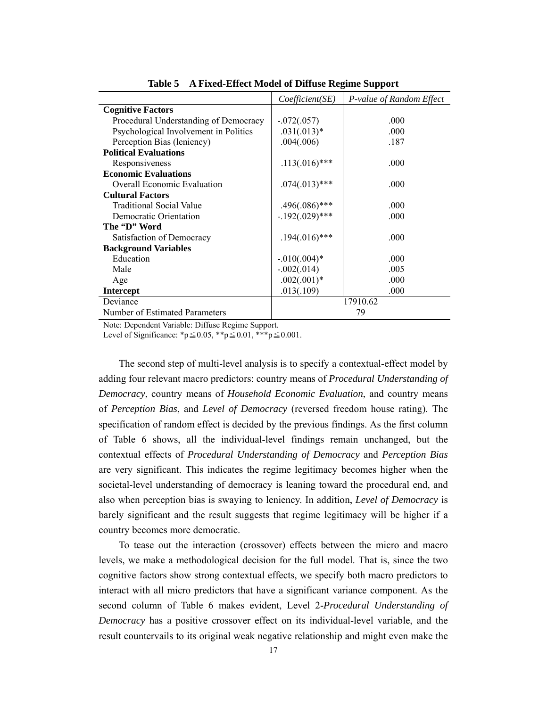|                                       | Coefficient(SE)   | P-value of Random Effect |  |
|---------------------------------------|-------------------|--------------------------|--|
| <b>Cognitive Factors</b>              |                   |                          |  |
| Procedural Understanding of Democracy | $-.072(.057)$     | .000                     |  |
| Psychological Involvement in Politics | $.031(.013)*$     | .000                     |  |
| Perception Bias (leniency)            | .004(.006)        | .187                     |  |
| <b>Political Evaluations</b>          |                   |                          |  |
| Responsiveness                        | $.113(.016)$ ***  | .000                     |  |
| <b>Economic Evaluations</b>           |                   |                          |  |
| <b>Overall Economic Evaluation</b>    | $.074(.013)$ ***  | .000                     |  |
| <b>Cultural Factors</b>               |                   |                          |  |
| <b>Traditional Social Value</b>       | $.496(.086)$ ***  | .000                     |  |
| Democratic Orientation                | $-.192(.029)$ *** | .000                     |  |
| The "D" Word                          |                   |                          |  |
| Satisfaction of Democracy             | $.194(.016)$ ***  | .000                     |  |
| <b>Background Variables</b>           |                   |                          |  |
| Education                             | $-0.010(.004)*$   | .000                     |  |
| Male                                  | $-.002(.014)$     | .005                     |  |
| Age                                   | $.002(.001)*$     | .000                     |  |
| Intercept                             | .013(.109)        | .000                     |  |
| Deviance                              | 17910.62          |                          |  |
| Number of Estimated Parameters        | 79                |                          |  |

**Table 5 A Fixed-Effect Model of Diffuse Regime Support** 

Note: Dependent Variable: Diffuse Regime Support.

Level of Significance: \*p≤0.05, \*\*p≤0.01, \*\*\*p≤0.001.

The second step of multi-level analysis is to specify a contextual-effect model by adding four relevant macro predictors: country means of *Procedural Understanding of Democracy*, country means of *Household Economic Evaluation*, and country means of *Perception Bias*, and *Level of Democracy* (reversed freedom house rating). The specification of random effect is decided by the previous findings. As the first column of Table 6 shows, all the individual-level findings remain unchanged, but the contextual effects of *Procedural Understanding of Democracy* and *Perception Bias* are very significant. This indicates the regime legitimacy becomes higher when the societal-level understanding of democracy is leaning toward the procedural end, and also when perception bias is swaying to leniency. In addition, *Level of Democracy* is barely significant and the result suggests that regime legitimacy will be higher if a country becomes more democratic.

To tease out the interaction (crossover) effects between the micro and macro levels, we make a methodological decision for the full model. That is, since the two cognitive factors show strong contextual effects, we specify both macro predictors to interact with all micro predictors that have a significant variance component. As the second column of Table 6 makes evident, Level 2-*Procedural Understanding of Democracy* has a positive crossover effect on its individual-level variable, and the result countervails to its original weak negative relationship and might even make the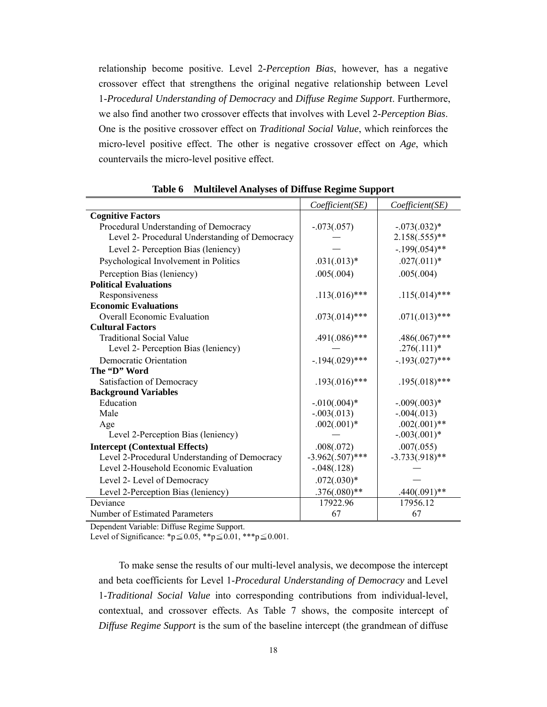relationship become positive. Level 2-*Perception Bias*, however, has a negative crossover effect that strengthens the original negative relationship between Level 1-*Procedural Understanding of Democracy* and *Diffuse Regime Support*. Furthermore, we also find another two crossover effects that involves with Level 2-*Perception Bias*. One is the positive crossover effect on *Traditional Social Value*, which reinforces the micro-level positive effect. The other is negative crossover effect on *Age*, which countervails the micro-level positive effect.

|                                                | Coefficient(SE)    | Coefficient(SE)   |
|------------------------------------------------|--------------------|-------------------|
| <b>Cognitive Factors</b>                       |                    |                   |
| Procedural Understanding of Democracy          | $-.073(.057)$      | $-.073(.032)*$    |
| Level 2- Procedural Understanding of Democracy |                    | $2.158(.555)**$   |
| Level 2- Perception Bias (leniency)            |                    | $-.199(.054)$ **  |
| Psychological Involvement in Politics          | $.031(.013)*$      | $.027(.011)*$     |
| Perception Bias (leniency)                     | .005(.004)         | .005(.004)        |
| <b>Political Evaluations</b>                   |                    |                   |
| Responsiveness                                 | $.113(.016)$ ***   | $.115(.014)$ ***  |
| <b>Economic Evaluations</b>                    |                    |                   |
| <b>Overall Economic Evaluation</b>             | $.073(.014)$ ***   | $.071(.013)$ ***  |
| <b>Cultural Factors</b>                        |                    |                   |
| <b>Traditional Social Value</b>                | $.491(.086)$ ***   | $.486(.067)$ ***  |
| Level 2- Perception Bias (leniency)            |                    | $.276(.111)*$     |
| Democratic Orientation                         | $-194(.029)$ ***   | $-.193(.027)$ *** |
| The "D" Word                                   |                    |                   |
| Satisfaction of Democracy                      | $.193(.016)$ ***   | $.195(.018)$ ***  |
| <b>Background Variables</b>                    |                    |                   |
| Education                                      | $-.010(.004)*$     | $-.009(.003)*$    |
| Male                                           | $-.003(.013)$      | $-.004(.013)$     |
| Age                                            | $.002(.001)*$      | $.002(.001)$ **   |
| Level 2-Perception Bias (leniency)             |                    | $-.003(.001)*$    |
| <b>Intercept (Contextual Effects)</b>          | .008(.072)         | .007(.055)        |
| Level 2-Procedural Understanding of Democracy  | $-3.962(.507)$ *** | $-3.733(.918)$ ** |
| Level 2-Household Economic Evaluation          | $-.048(.128)$      |                   |
| Level 2- Level of Democracy                    | $.072(.030)*$      |                   |
| Level 2-Perception Bias (leniency)             | $.376(.080)$ **    | $.440(.091)**$    |
| Deviance                                       | 17922.96           | 17956.12          |
| Number of Estimated Parameters                 | 67                 | 67                |

**Table 6 Multilevel Analyses of Diffuse Regime Support**

Dependent Variable: Diffuse Regime Support.

Level of Significance: \*p≤0.05, \*\*p≤0.01, \*\*\*p≤0.001.

To make sense the results of our multi-level analysis, we decompose the intercept and beta coefficients for Level 1-*Procedural Understanding of Democracy* and Level 1-*Traditional Social Value* into corresponding contributions from individual-level, contextual, and crossover effects. As Table 7 shows, the composite intercept of *Diffuse Regime Support* is the sum of the baseline intercept (the grandmean of diffuse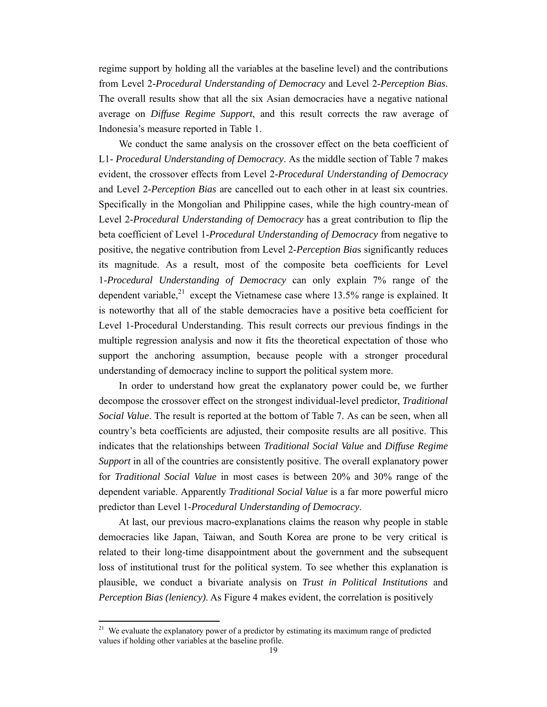regime support by holding all the variables at the baseline level) and the contributions from Level 2-*Procedural Understanding of Democracy* and Level 2-*Perception Bias*. The overall results show that all the six Asian democracies have a negative national average on *Diffuse Regime Support*, and this result corrects the raw average of Indonesia's measure reported in Table 1.

We conduct the same analysis on the crossover effect on the beta coefficient of L1- *Procedural Understanding of Democracy*. As the middle section of Table 7 makes evident, the crossover effects from Level 2-*Procedural Understanding of Democracy*  and Level 2-*Perception Bias* are cancelled out to each other in at least six countries. Specifically in the Mongolian and Philippine cases, while the high country-mean of Level 2-*Procedural Understanding of Democracy* has a great contribution to flip the beta coefficient of Level 1-*Procedural Understanding of Democracy* from negative to positive, the negative contribution from Level 2-*Perception Bia*s significantly reduces its magnitude. As a result, most of the composite beta coefficients for Level 1-*Procedural Understanding of Democracy* can only explain 7% range of the dependent variable,<sup>21</sup> except the Vietnamese case where  $13.5\%$  range is explained. It is noteworthy that all of the stable democracies have a positive beta coefficient for Level 1-Procedural Understanding. This result corrects our previous findings in the multiple regression analysis and now it fits the theoretical expectation of those who support the anchoring assumption, because people with a stronger procedural understanding of democracy incline to support the political system more.

In order to understand how great the explanatory power could be, we further decompose the crossover effect on the strongest individual-level predictor, *Traditional Social Value*. The result is reported at the bottom of Table 7. As can be seen, when all country's beta coefficients are adjusted, their composite results are all positive. This indicates that the relationships between *Traditional Social Value* and *Diffuse Regime Support* in all of the countries are consistently positive. The overall explanatory power for *Traditional Social Value* in most cases is between 20% and 30% range of the dependent variable. Apparently *Traditional Social Value* is a far more powerful micro predictor than Level 1-*Procedural Understanding of Democracy*.

At last, our previous macro-explanations claims the reason why people in stable democracies like Japan, Taiwan, and South Korea are prone to be very critical is related to their long-time disappointment about the government and the subsequent loss of institutional trust for the political system. To see whether this explanation is plausible, we conduct a bivariate analysis on *Trust in Political Institutions* and *Perception Bias (leniency)*. As Figure 4 makes evident, the correlation is positively

<sup>&</sup>lt;sup>21</sup> We evaluate the explanatory power of a predictor by estimating its maximum range of predicted values if holding other variables at the baseline profile.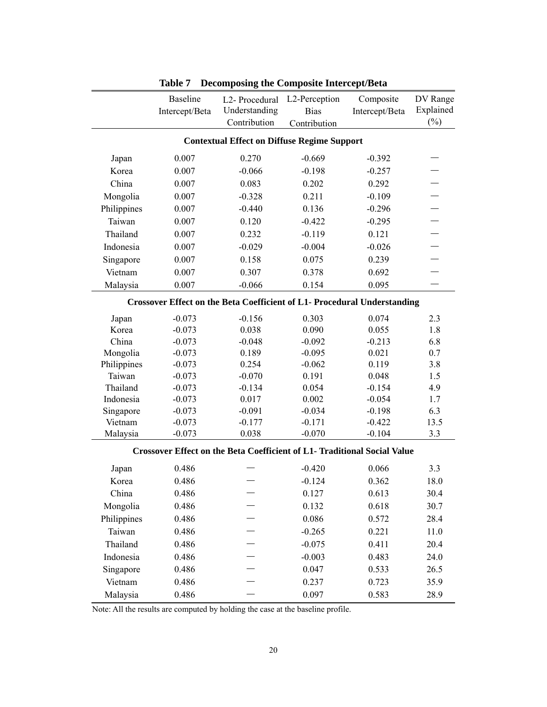|                                                                          | <b>Baseline</b> | L2-Procedural                                                                   | L2-Perception | Composite      | DV Range  |
|--------------------------------------------------------------------------|-----------------|---------------------------------------------------------------------------------|---------------|----------------|-----------|
|                                                                          | Intercept/Beta  | Understanding                                                                   | <b>Bias</b>   | Intercept/Beta | Explained |
|                                                                          |                 | Contribution                                                                    | Contribution  |                | $(\%)$    |
|                                                                          |                 | <b>Contextual Effect on Diffuse Regime Support</b>                              |               |                |           |
| Japan                                                                    | 0.007           | 0.270                                                                           | $-0.669$      | $-0.392$       |           |
| Korea                                                                    | 0.007           | $-0.066$                                                                        | $-0.198$      | $-0.257$       |           |
| China                                                                    | 0.007           | 0.083                                                                           | 0.202         | 0.292          |           |
| Mongolia                                                                 | 0.007           | $-0.328$                                                                        | 0.211         | $-0.109$       |           |
| Philippines                                                              | 0.007           | $-0.440$                                                                        | 0.136         | $-0.296$       |           |
| Taiwan                                                                   | 0.007           | 0.120                                                                           | $-0.422$      | $-0.295$       |           |
| Thailand                                                                 | 0.007           | 0.232                                                                           | $-0.119$      | 0.121          |           |
| Indonesia                                                                | 0.007           | $-0.029$                                                                        | $-0.004$      | $-0.026$       |           |
| Singapore                                                                | 0.007           | 0.158                                                                           | 0.075         | 0.239          |           |
| Vietnam                                                                  | 0.007           | 0.307                                                                           | 0.378         | 0.692          |           |
| Malaysia                                                                 | 0.007           | $-0.066$                                                                        | 0.154         | 0.095          |           |
| Crossover Effect on the Beta Coefficient of L1- Procedural Understanding |                 |                                                                                 |               |                |           |
| Japan                                                                    | $-0.073$        | $-0.156$                                                                        | 0.303         | 0.074          | 2.3       |
| Korea                                                                    | $-0.073$        | 0.038                                                                           | 0.090         | 0.055          | 1.8       |
| China                                                                    | $-0.073$        | $-0.048$                                                                        | $-0.092$      | $-0.213$       | 6.8       |
| Mongolia                                                                 | $-0.073$        | 0.189                                                                           | $-0.095$      | 0.021          | 0.7       |
| Philippines                                                              | $-0.073$        | 0.254                                                                           | $-0.062$      | 0.119          | 3.8       |
| Taiwan                                                                   | $-0.073$        | $-0.070$                                                                        | 0.191         | 0.048          | 1.5       |
| Thailand                                                                 | $-0.073$        | $-0.134$                                                                        | 0.054         | $-0.154$       | 4.9       |
| Indonesia                                                                | $-0.073$        | 0.017                                                                           | 0.002         | $-0.054$       | 1.7       |
| Singapore                                                                | $-0.073$        | $-0.091$                                                                        | $-0.034$      | $-0.198$       | 6.3       |
| Vietnam                                                                  | $-0.073$        | $-0.177$                                                                        | $-0.171$      | $-0.422$       | 13.5      |
| Malaysia                                                                 | $-0.073$        | 0.038                                                                           | $-0.070$      | $-0.104$       | 3.3       |
|                                                                          |                 | <b>Crossover Effect on the Beta Coefficient of L1- Traditional Social Value</b> |               |                |           |
| Japan                                                                    | 0.486           |                                                                                 | $-0.420$      | 0.066          | 3.3       |
| Korea                                                                    | 0.486           |                                                                                 | $-0.124$      | 0.362          | 18.0      |
| China                                                                    | 0.486           |                                                                                 | 0.127         | 0.613          | 30.4      |
| Mongolia                                                                 | 0.486           |                                                                                 | 0.132         | 0.618          | 30.7      |
| Philippines                                                              | 0.486           |                                                                                 | 0.086         | 0.572          | 28.4      |
| Taiwan                                                                   | 0.486           |                                                                                 | $-0.265$      | 0.221          | 11.0      |
| Thailand                                                                 | 0.486           |                                                                                 | $-0.075$      | 0.411          | 20.4      |
| Indonesia                                                                | 0.486           |                                                                                 | $-0.003$      | 0.483          | 24.0      |
| Singapore                                                                | 0.486           |                                                                                 | 0.047         | 0.533          | 26.5      |
| Vietnam                                                                  | 0.486           |                                                                                 | 0.237         | 0.723          | 35.9      |
| Malaysia                                                                 | 0.486           |                                                                                 | 0.097         | 0.583          | 28.9      |

**Table 7 Decomposing the Composite Intercept/Beta** 

Note: All the results are computed by holding the case at the baseline profile.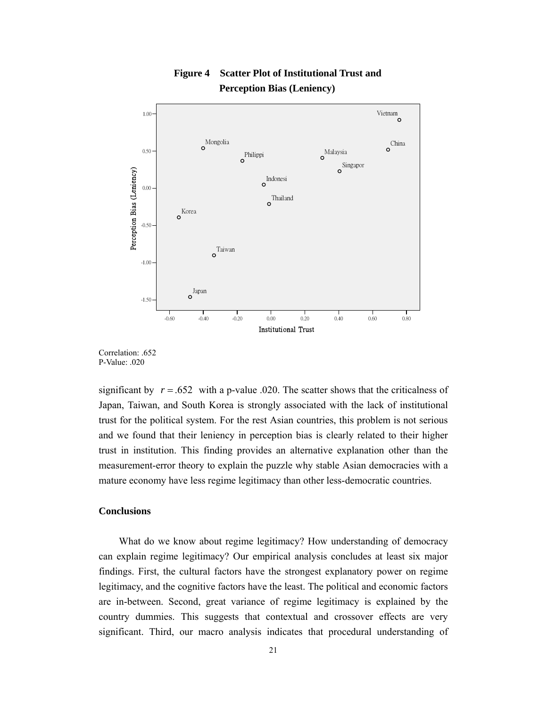

## **Figure 4 Scatter Plot of Institutional Trust and Perception Bias (Leniency)**



significant by  $r = .652$  with a p-value .020. The scatter shows that the criticalness of Japan, Taiwan, and South Korea is strongly associated with the lack of institutional trust for the political system. For the rest Asian countries, this problem is not serious and we found that their leniency in perception bias is clearly related to their higher trust in institution. This finding provides an alternative explanation other than the measurement-error theory to explain the puzzle why stable Asian democracies with a mature economy have less regime legitimacy than other less-democratic countries.

#### **Conclusions**

What do we know about regime legitimacy? How understanding of democracy can explain regime legitimacy? Our empirical analysis concludes at least six major findings. First, the cultural factors have the strongest explanatory power on regime legitimacy, and the cognitive factors have the least. The political and economic factors are in-between. Second, great variance of regime legitimacy is explained by the country dummies. This suggests that contextual and crossover effects are very significant. Third, our macro analysis indicates that procedural understanding of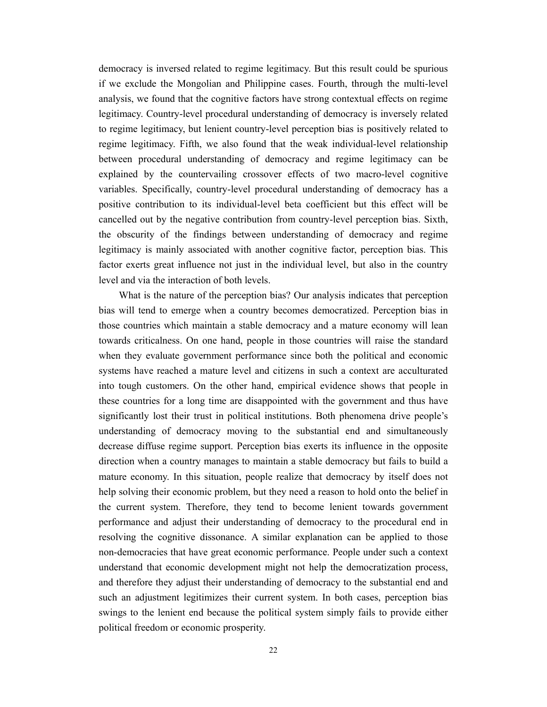democracy is inversed related to regime legitimacy. But this result could be spurious if we exclude the Mongolian and Philippine cases. Fourth, through the multi-level analysis, we found that the cognitive factors have strong contextual effects on regime legitimacy. Country-level procedural understanding of democracy is inversely related to regime legitimacy, but lenient country-level perception bias is positively related to regime legitimacy. Fifth, we also found that the weak individual-level relationship between procedural understanding of democracy and regime legitimacy can be explained by the countervailing crossover effects of two macro-level cognitive variables. Specifically, country-level procedural understanding of democracy has a positive contribution to its individual-level beta coefficient but this effect will be cancelled out by the negative contribution from country-level perception bias. Sixth, the obscurity of the findings between understanding of democracy and regime legitimacy is mainly associated with another cognitive factor, perception bias. This factor exerts great influence not just in the individual level, but also in the country level and via the interaction of both levels.

What is the nature of the perception bias? Our analysis indicates that perception bias will tend to emerge when a country becomes democratized. Perception bias in those countries which maintain a stable democracy and a mature economy will lean towards criticalness. On one hand, people in those countries will raise the standard when they evaluate government performance since both the political and economic systems have reached a mature level and citizens in such a context are acculturated into tough customers. On the other hand, empirical evidence shows that people in these countries for a long time are disappointed with the government and thus have significantly lost their trust in political institutions. Both phenomena drive people's understanding of democracy moving to the substantial end and simultaneously decrease diffuse regime support. Perception bias exerts its influence in the opposite direction when a country manages to maintain a stable democracy but fails to build a mature economy. In this situation, people realize that democracy by itself does not help solving their economic problem, but they need a reason to hold onto the belief in the current system. Therefore, they tend to become lenient towards government performance and adjust their understanding of democracy to the procedural end in resolving the cognitive dissonance. A similar explanation can be applied to those non-democracies that have great economic performance. People under such a context understand that economic development might not help the democratization process, and therefore they adjust their understanding of democracy to the substantial end and such an adjustment legitimizes their current system. In both cases, perception bias swings to the lenient end because the political system simply fails to provide either political freedom or economic prosperity.